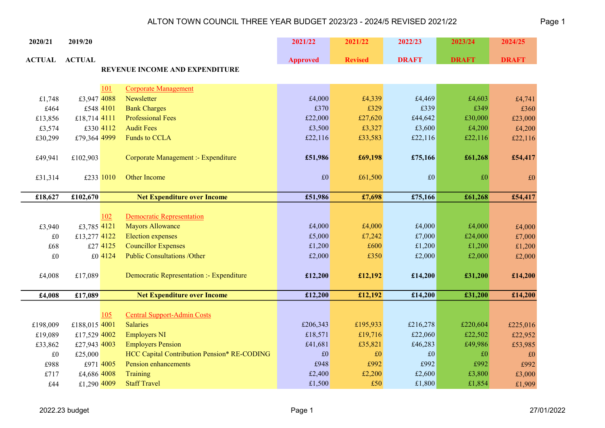| 2020/21       | 2019/20       |           |                                             | 2021/22         | 2021/22        | 2022/23      | 2023/24      | 2024/25      |
|---------------|---------------|-----------|---------------------------------------------|-----------------|----------------|--------------|--------------|--------------|
| <b>ACTUAL</b> | <b>ACTUAL</b> |           |                                             | <b>Approved</b> | <b>Revised</b> | <b>DRAFT</b> | <b>DRAFT</b> | <b>DRAFT</b> |
|               |               |           | REVENUE INCOME AND EXPENDITURE              |                 |                |              |              |              |
|               |               | 101       | <b>Corporate Management</b>                 |                 |                |              |              |              |
| £1,748        | £3,947 4088   |           | Newsletter                                  | £4,000          | £4,339         | £4,469       | £4,603       | £4,741       |
| £464          |               | £548 4101 | <b>Bank Charges</b>                         | £370            | £329           | £339         | £349         | £360         |
| £13,856       | £18,714 4111  |           | <b>Professional Fees</b>                    | £22,000         | £27,620        | £44,642      | £30,000      | £23,000      |
| £3,574        |               | £330 4112 | <b>Audit Fees</b>                           | £3,500          | £3,327         | £3,600       | £4,200       | £4,200       |
| £30,299       | £79,364 4999  |           | <b>Funds to CCLA</b>                        | £22,116         | £33,583        | £22,116      | £22,116      | £22,116      |
|               |               |           |                                             |                 |                |              |              |              |
| £49,941       | £102,903      |           | Corporate Management :- Expenditure         | £51,986         | £69,198        | £75,166      | £61,268      | £54,417      |
|               |               |           |                                             |                 |                |              |              |              |
| £31,314       |               | £233 1010 | Other Income                                | £0              | £61,500        | $\pounds 0$  | $\pounds 0$  | £0           |
|               |               |           |                                             |                 |                |              |              |              |
| £18,627       | £102,670      |           | <b>Net Expenditure over Income</b>          | £51,986         | £7,698         | £75,166      | £61,268      | £54,417      |
|               |               |           |                                             |                 |                |              |              |              |
|               |               | 102       | <b>Democratic Representation</b>            |                 |                |              |              |              |
| £3,940        | £3,785 4121   |           | <b>Mayors Allowance</b>                     | £4,000          | £4,000         | £4,000       | £4,000       | £4,000       |
| £0            | £13,277 4122  |           | <b>Election</b> expenses                    | £5,000          | £7,242         | £7,000       | £24,000      | £7,000       |
| £68           |               | £27 4125  | <b>Councillor Expenses</b>                  | £1,200          | £600           | £1,200       | £1,200       | £1,200       |
| £0            |               | £0 4124   | <b>Public Consultations /Other</b>          | £2,000          | £350           | £2,000       | £2,000       | £2,000       |
|               |               |           |                                             |                 |                |              |              |              |
| £4,008        | £17,089       |           | Democratic Representation :- Expenditure    | £12,200         | £12,192        | £14,200      | £31,200      | £14,200      |
|               |               |           |                                             |                 |                |              |              |              |
| £4,008        | £17,089       |           | <b>Net Expenditure over Income</b>          | £12,200         | £12,192        | £14,200      | £31,200      | £14,200      |
|               |               |           |                                             |                 |                |              |              |              |
|               |               | 105       | <b>Central Support-Admin Costs</b>          |                 |                |              |              |              |
| £198,009      | £188,015 4001 |           | <b>Salaries</b>                             | £206,343        | £195,933       | £216,278     | £220,604     | £225,016     |
| £19,089       | £17,529 4002  |           | <b>Employers NI</b>                         | £18,571         | £19,716        | £22,060      | £22,502      | £22,952      |
| £33,862       | £27,943 4003  |           | <b>Employers Pension</b>                    | £41,681         | £35,821        | £46,283      | £49,986      | £53,985      |
| £0            | £25,000       |           | HCC Capital Contribution Pension* RE-CODING | £0              | $\pounds 0$    | $\pounds 0$  | £0           | £0           |
| £988          |               | £971 4005 | <b>Pension enhancements</b>                 | £948            | £992           | £992         | £992         | £992         |
| £717          | £4,686 4008   |           | Training                                    | £2,400          | £2,200         | £2,600       | £3,800       | £3,000       |
| £44           | £1,290 4009   |           | <b>Staff Travel</b>                         | £1,500          | £50            | £1,800       | £1,854       | £1,909       |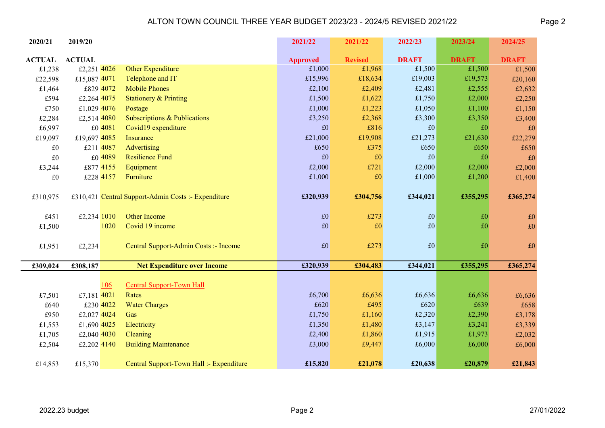| 2020/21       | 2019/20       |            |                                                     | 2021/22         | 2021/22        | 2022/23      | 2023/24      | 2024/25      |
|---------------|---------------|------------|-----------------------------------------------------|-----------------|----------------|--------------|--------------|--------------|
| <b>ACTUAL</b> | <b>ACTUAL</b> |            |                                                     | <b>Approved</b> | <b>Revised</b> | <b>DRAFT</b> | <b>DRAFT</b> | <b>DRAFT</b> |
| £1,238        | £2,251 4026   |            | Other Expenditure                                   | £1,000          | £1,968         | £1,500       | £1,500       | £1,500       |
| £22,598       | £15,087 4071  |            | Telephone and IT                                    | £15,996         | £18,634        | £19,003      | £19,573      | £20,160      |
| £1,464        | £829 4072     |            | <b>Mobile Phones</b>                                | £2,100          | £2,409         | £2,481       | £2,555       | £2,632       |
| £594          | £2,264 4075   |            | <b>Stationery &amp; Printing</b>                    | £1,500          | £1,622         | £1,750       | £2,000       | £2,250       |
| £750          | £1,029 4076   |            | Postage                                             | £1,000          | £1,223         | £1,050       | £1,100       | £1,150       |
| £2,284        | £2,514 4080   |            | Subscriptions & Publications                        | £3,250          | £2,368         | £3,300       | £3,350       | £3,400       |
| £6,997        |               | £0 4081    | Covid19 expenditure                                 | $\pounds 0$     | £816           | £0           | £0           | £0           |
| £19,097       | £19,697 4085  |            | Insurance                                           | £21,000         | £19,908        | £21,273      | £21,630      | £22,279      |
| £0            | £211 4087     |            | Advertising                                         | £650            | £375           | £650         | £650         | £650         |
| £0            |               | £0 4089    | <b>Resilience Fund</b>                              | £0              | $\pounds 0$    | £0           | £0           | £0           |
| £3,244        | £877 4155     |            | Equipment                                           | £2,000          | £721           | £2,000       | £2,000       | £2,000       |
| $\pounds 0$   | £228 4157     |            | Furniture                                           | £1,000          | $\pounds 0$    | £1,000       | £1,200       | £1,400       |
|               |               |            |                                                     |                 |                |              |              |              |
| £310,975      |               |            | £310,421 Central Support-Admin Costs :- Expenditure | £320,939        | £304,756       | £344,021     | £355,295     | £365,274     |
|               |               |            |                                                     |                 |                |              |              |              |
| £451          | £2,234 1010   |            | Other Income                                        | $\pounds 0$     | £273           | $\pounds 0$  | £0           | £0           |
| £1,500        |               | 1020       | Covid 19 income                                     | $\pounds 0$     | $\pounds 0$    | £0           | £0           | $\pounds 0$  |
|               |               |            |                                                     |                 |                |              |              |              |
| £1,951        | £2,234        |            | Central Support-Admin Costs :- Income               | £0              | £273           | £0           | £0           | $\pounds 0$  |
|               |               |            |                                                     |                 |                |              |              |              |
| £309,024      | £308,187      |            | <b>Net Expenditure over Income</b>                  | £320,939        | £304,483       | £344,021     | £355,295     | £365,274     |
|               |               | <u>106</u> | <b>Central Support-Town Hall</b>                    |                 |                |              |              |              |
| £7,501        | £7,181 4021   |            | Rates                                               | £6,700          | £6,636         | £6,636       | £6,636       | £6,636       |
| £640          | £230 4022     |            | <b>Water Charges</b>                                | £620            | £495           | £620         | £639         | £658         |
| £950          | £2,027 4024   |            | Gas                                                 | £1,750          | £1,160         | £2,320       | £2,390       | £3,178       |
| £1,553        | £1,690 4025   |            | Electricity                                         | £1,350          | £1,480         | £3,147       | £3,241       | £3,339       |
| £1,705        | £2,040 4030   |            | Cleaning                                            | £2,400          | £1,860         | £1,915       | £1,973       | £2,032       |
| £2,504        | £2,202 4140   |            | <b>Building Maintenance</b>                         | £3,000          | £9,447         | £6,000       | £6,000       | £6,000       |
|               |               |            |                                                     |                 |                |              |              |              |
| £14,853       | £15,370       |            | Central Support-Town Hall :- Expenditure            | £15,820         | £21,078        | £20,638      | £20,879      | £21,843      |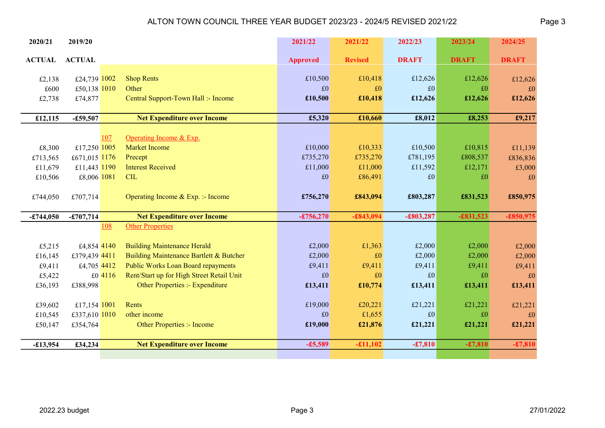| 2020/21           | 2019/20       |         |                                                                                 | 2021/22         | 2021/22        | 2022/23      | 2023/24      | 2024/25      |
|-------------------|---------------|---------|---------------------------------------------------------------------------------|-----------------|----------------|--------------|--------------|--------------|
| <b>ACTUAL</b>     | <b>ACTUAL</b> |         |                                                                                 | <b>Approved</b> | <b>Revised</b> | <b>DRAFT</b> | <b>DRAFT</b> | <b>DRAFT</b> |
|                   |               |         |                                                                                 |                 |                |              |              |              |
| £2,138            | £24,739 1002  |         | <b>Shop Rents</b>                                                               | £10,500         | £10,418        | £12,626      | £12,626      | £12,626      |
| £600              | £50,138 1010  |         | Other                                                                           | £0              | £0             | £0           | £0           | £0           |
| £2,738            | £74,877       |         | Central Support-Town Hall :- Income                                             | £10,500         | £10,418        | £12,626      | £12,626      | £12,626      |
|                   |               |         |                                                                                 |                 |                |              |              |              |
| £12,115           | $-£59,507$    |         | <b>Net Expenditure over Income</b>                                              | £5,320          | £10,660        | £8,012       | £8,253       | £9,217       |
|                   |               | 107     | Operating Income & Exp.                                                         |                 |                |              |              |              |
| £8,300            | £17,250 1005  |         | <b>Market Income</b>                                                            | £10,000         | £10,333        | £10,500      | £10,815      | £11,139      |
| £713,565          | £671,015 1176 |         | Precept                                                                         | £735,270        | £735,270       | £781,195     | £808,537     | £836,836     |
| £11,679           | £11,443 1190  |         | <b>Interest Received</b>                                                        | £11,000         | £11,000        | £11,592      | £12,171      | £3,000       |
| £10,506           | £8,006 1081   |         | <b>CIL</b>                                                                      | £0              | £86,491        | £0           | £0           | £0           |
|                   |               |         |                                                                                 |                 |                |              |              |              |
| £744,050          | £707,714      |         | Operating Income & Exp. :- Income                                               | £756,270        | £843,094       | £803,287     | £831,523     | £850,975     |
|                   |               |         |                                                                                 |                 |                |              |              |              |
| $-£744,050$       | $-£707,714$   |         | <b>Net Expenditure over Income</b>                                              | $-£756,270$     | $-£843,094$    | $-£803,287$  | $-£831,523$  | $-£850,975$  |
|                   |               | 108     | <b>Other Properties</b>                                                         |                 |                |              |              |              |
|                   |               |         |                                                                                 |                 |                |              |              |              |
| £5,215            | £4,854 4140   |         | <b>Building Maintenance Herald</b>                                              | £2,000          | £1,363         | £2,000       | £2,000       | £2,000       |
| £16,145           | £379,439 4411 |         | Building Maintenance Bartlett & Butcher                                         | £2,000          | £0             | £2,000       | £2,000       | £2,000       |
| £9,411            | £4,705 4412   | £0 4116 | Public Works Loan Board repayments<br>Rent/Start up for High Street Retail Unit | £9,411<br>£0    | £9,411<br>£0   | £9,411<br>£0 | £9,411<br>£0 | £9,411<br>£0 |
| £5,422<br>£36,193 | £388,998      |         | Other Properties :- Expenditure                                                 | £13,411         | £10,774        | £13,411      | £13,411      | £13,411      |
|                   |               |         |                                                                                 |                 |                |              |              |              |
| £39,602           | £17,154 1001  |         | Rents                                                                           | £19,000         | £20,221        | £21,221      | £21,221      | £21,221      |
| £10,545           | £337,610 1010 |         | other income                                                                    | £0              | £1,655         | £0           | £0           | £0           |
| £50,147           | £354,764      |         | Other Properties :- Income                                                      | £19,000         | £21,876        | £21,221      | £21,221      | £21,221      |
|                   |               |         |                                                                                 |                 |                |              |              |              |
| $-£13,954$        | £34,234       |         | <b>Net Expenditure over Income</b>                                              | $-£5,589$       | $-£11,102$     | $-£7,810$    | $-£7,810$    | $-£7,810$    |
|                   |               |         |                                                                                 |                 |                |              |              |              |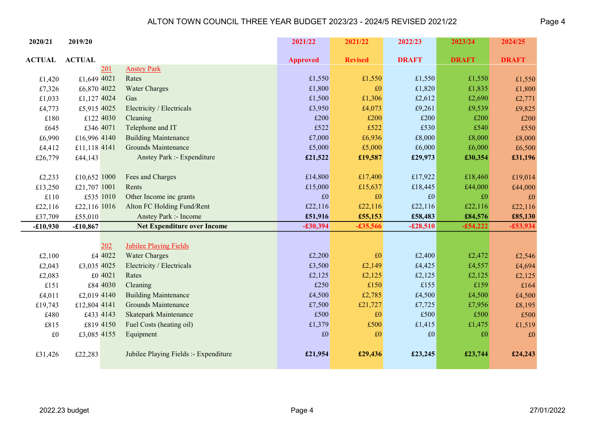| 2020/21       | 2019/20       |                                       | 2021/22         | 2021/22        | 2022/23      | 2023/24      | 2024/25      |
|---------------|---------------|---------------------------------------|-----------------|----------------|--------------|--------------|--------------|
| <b>ACTUAL</b> | <b>ACTUAL</b> |                                       | <b>Approved</b> | <b>Revised</b> | <b>DRAFT</b> | <b>DRAFT</b> | <b>DRAFT</b> |
|               | 201           | <b>Anstey Park</b>                    |                 |                |              |              |              |
| £1,420        | £1,649 4021   | Rates                                 | £1,550          | £1,550         | £1,550       | £1,550       | £1,550       |
| £7,326        | £6,870 4022   | <b>Water Charges</b>                  | £1,800          | £0             | £1,820       | £1,835       | £1,800       |
| £1,033        | £1,127 4024   | Gas                                   | £1,500          | £1,306         | £2,612       | £2,690       | £2,771       |
| £4,773        | £5,915 4025   | Electricity / Electricals             | £3,950          | £4,073         | £9,261       | £9,539       | £9,825       |
| £180          | £122 4030     | Cleaning                              | £200            | £200           | £200         | £200         | £200         |
| £645          | £346 4071     | Telephone and IT                      | £522            | £522           | £530         | £540         | £550         |
| £6,990        | £16,996 4140  | <b>Building Maintenance</b>           | £7,000          | £6,936         | £8,000       | £8,000       | £8,000       |
| £4,412        | £11,118 4141  | <b>Grounds Maintenance</b>            | £5,000          | £5,000         | £6,000       | £6,000       | £6,500       |
| £26,779       | £44,143       | Anstey Park :- Expenditure            | £21,522         | £19,587        | £29,973      | £30,354      | £31,196      |
|               |               |                                       |                 |                |              |              |              |
| £2,233        | £10,652 1000  | Fees and Charges                      | £14,800         | £17,400        | £17,922      | £18,460      | £19,014      |
| £13,250       | £21,707 1001  | Rents                                 | £15,000         | £15,637        | £18,445      | £44,000      | £44,000      |
| £110          | £535 1010     | Other Income inc grants               | £0              | £0             | £0           | £0           | £0           |
| £22,116       | £22,116 1016  | Alton FC Holding Fund/Rent            | £22,116         | £22,116        | £22,116      | £22,116      | £22,116      |
| £37,709       | £55,010       | Anstey Park :- Income                 | £51,916         | £55,153        | £58,483      | £84,576      | £85,130      |
| $-£10,930$    | $-£10,867$    | <b>Net Expenditure over Income</b>    | $-£30,394$      | $-£35,566$     | $-£28,510$   | $-£54,222$   | $-£53,934$   |
|               |               |                                       |                 |                |              |              |              |
|               | 202           | <b>Jubilee Playing Fields</b>         |                 |                |              |              |              |
| £2,100        | £4 4022       | <b>Water Charges</b>                  | £2,200          | £0             | £2,400       | £2,472       | £2,546       |
| £2,043        | £3,035 4025   | Electricity / Electricals             | £3,500          | £2,149         | £4,425       | £4,557       | £4,694       |
| £2,083        | £0 4021       | Rates                                 | £2,125          | £2,125         | £2,125       | £2,125       | £2,125       |
| £151          | £84 4030      | Cleaning                              | £250            | £150           | £155         | £159         | £164         |
| £4,011        | £2,019 4140   | <b>Building Maintenance</b>           | £4,500          | £2,785         | £4,500       | £4,500       | £4,500       |
| £19,743       | £12,804 4141  | <b>Grounds Maintenance</b>            | £7,500          | £21,727        | £7,725       | £7,956       | £8,195       |
| £480          | £433 4143     | <b>Skatepark Maintenance</b>          | £500            | £0             | £500         | £500         | £500         |
| £815          | £819 4150     | Fuel Costs (heating oil)              | £1,379          | £500           | £1,415       | £1,475       | £1,519       |
| $\pounds 0$   | £3,085 4155   | Equipment                             | $\pounds 0$     | £0             | £0           | £0           | £0           |
| £31,426       | £22,283       | Jubilee Playing Fields :- Expenditure | £21,954         | £29,436        | £23,245      | £23,744      | £24,243      |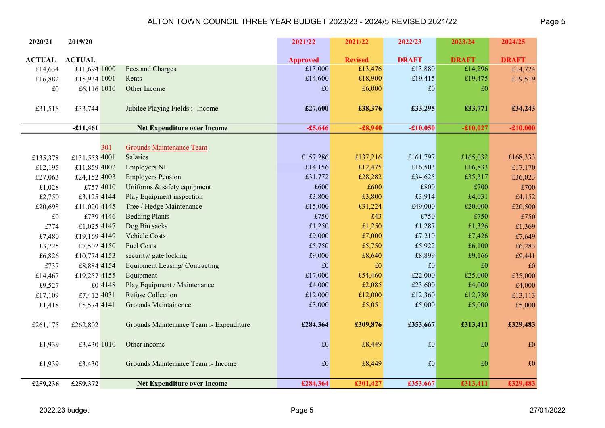| 2020/21       | 2019/20       |                                         | 2021/22         | 2021/22        | 2022/23      | 2023/24      | 2024/25      |
|---------------|---------------|-----------------------------------------|-----------------|----------------|--------------|--------------|--------------|
| <b>ACTUAL</b> | <b>ACTUAL</b> |                                         | <b>Approved</b> | <b>Revised</b> | <b>DRAFT</b> | <b>DRAFT</b> | <b>DRAFT</b> |
| £14,634       | £11,694 1000  | Fees and Charges                        | £13,000         | £13,476        | £13,880      | £14,296      | £14,724      |
| £16,882       | £15,934 1001  | Rents                                   | £14,600         | £18,900        | £19,415      | £19,475      | £19,519      |
| $\pounds 0$   | £6,116 1010   | Other Income                            | £0              | £6,000         | $\pounds 0$  | £0           |              |
|               |               |                                         |                 |                |              |              |              |
| £31,516       | £33,744       | Jubilee Playing Fields :- Income        | £27,600         | £38,376        | £33,295      | £33,771      | £34,243      |
|               |               |                                         |                 |                |              |              |              |
|               | $-£11,461$    | <b>Net Expenditure over Income</b>      | $-£5,646$       | $-£8,940$      | $-£10,050$   | $-£10,027$   | $-£10,000$   |
|               |               |                                         |                 |                |              |              |              |
|               | <u>301</u>    | <b>Grounds Maintenance Team</b>         |                 |                |              |              |              |
| £135,378      | £131,553 4001 | Salaries                                | £157,286        | £137,216       | £161,797     | £165,032     | £168,333     |
| £12,195       | £11,859 4002  | <b>Employers NI</b>                     | £14,156         | £12,475        | £16,503      | £16,833      | £17,170      |
| £27,063       | £24,152 4003  | <b>Employers Pension</b>                | £31,772         | £28,282        | £34,625      | £35,317      | £36,023      |
| £1,028        | £757 4010     | Uniforms & safety equipment             | £600            | £600           | £800         | £700         | £700         |
| £2,750        | £3,125 4144   | Play Equipment inspection               | £3,800          | £3,800         | £3,914       | £4,031       | £4,152       |
| £20,698       | £11,020 4145  | Tree / Hedge Maintenance                | £15,000         | £31,224        | £49,000      | £20,000      | £20,500      |
| $\pounds 0$   | £739 4146     | <b>Bedding Plants</b>                   | £750            | £43            | £750         | £750         | £750         |
| £774          | £1,025 4147   | Dog Bin sacks                           | £1,250          | £1,250         | £1,287       | £1,326       | £1,369       |
| £7,480        | £19,169 4149  | <b>Vehicle Costs</b>                    | £9,000          | £7,000         | £7,210       | £7,426       | £7,649       |
| £3,725        | £7,502 4150   | <b>Fuel Costs</b>                       | £5,750          | £5,750         | £5,922       | £6,100       | £6,283       |
| £6,826        | £10,774 4153  | security/ gate locking                  | £9,000          | £8,640         | £8,899       | £9,166       | £9,441       |
| £737          | £8,884 4154   | <b>Equipment Leasing/Contracting</b>    | £0              | $\pounds 0$    | $\pounds 0$  | £0           | £0           |
| £14,467       | £19,257 4155  | Equipment                               | £17,000         | £54,460        | £22,000      | £25,000      | £35,000      |
| £9,527        | £0 4148       | Play Equipment / Maintenance            | £4,000          | £2,085         | £23,600      | £4,000       | £4,000       |
| £17,109       | £7,412 4031   | <b>Refuse Collection</b>                | £12,000         | £12,000        | £12,360      | £12,730      | £13,113      |
| £1,418        | £5,574 4141   | Grounds Maintainence                    | £3,000          | £5,051         | £5,000       | £5,000       | £5,000       |
|               |               |                                         |                 |                |              |              |              |
| £261,175      | £262,802      | Grounds Maintenance Team :- Expenditure | £284,364        | £309,876       | £353,667     | £313,411     | £329,483     |
|               |               |                                         |                 |                |              |              |              |
| £1,939        | £3,430 1010   | Other income                            | $\pounds 0$     | £8,449         | £0           | £0           | $\pounds 0$  |
|               |               |                                         |                 |                |              |              |              |
| £1,939        | £3,430        | Grounds Maintenance Team :- Income      | $\pounds 0$     | £8,449         | £0           | £0           | $\pounds 0$  |
|               |               |                                         |                 |                |              |              |              |
| £259,236      | £259,372      | <b>Net Expenditure over Income</b>      | £284,364        | £301,427       | £353,667     | £313,411     | £329,483     |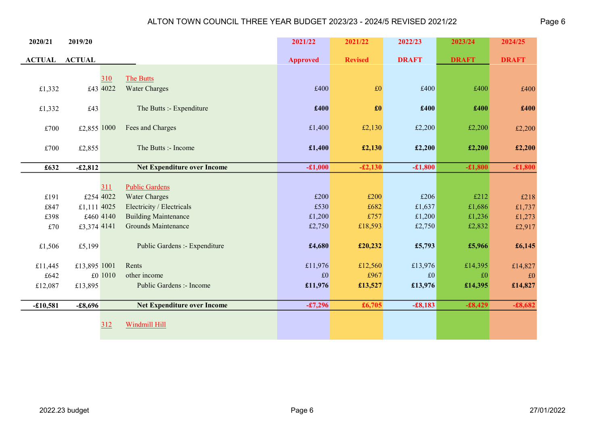| 2020/21       | 2019/20       |           |                                    | 2021/22         | 2021/22           | 2022/23      | 2023/24      | 2024/25      |
|---------------|---------------|-----------|------------------------------------|-----------------|-------------------|--------------|--------------|--------------|
| <b>ACTUAL</b> | <b>ACTUAL</b> |           |                                    | <b>Approved</b> | <b>Revised</b>    | <b>DRAFT</b> | <b>DRAFT</b> | <b>DRAFT</b> |
|               |               |           |                                    |                 |                   |              |              |              |
|               |               | 310       | <b>The Butts</b>                   |                 |                   |              |              |              |
| £1,332        |               | £43 4022  | <b>Water Charges</b>               | £400            | £0                | £400         | £400         | £400         |
| £1,332        | £43           |           | The Butts :- Expenditure           | £400            | $\pmb{\pounds}$ 0 | £400         | £400         | £400         |
|               |               |           |                                    |                 |                   |              |              |              |
| £700          | £2,855 1000   |           | Fees and Charges                   | £1,400          | £2,130            | £2,200       | £2,200       | £2,200       |
|               |               |           |                                    |                 |                   |              |              |              |
| £700          | £2,855        |           | The Butts :- Income                | £1,400          | £2,130            | £2,200       | £2,200       | £2,200       |
| £632          | $-£2,812$     |           | <b>Net Expenditure over Income</b> | $-£1,000$       | $-£2,130$         | $-£1,800$    | $-£1,800$    | $-£1,800$    |
|               |               |           |                                    |                 |                   |              |              |              |
|               |               | 311       | <b>Public Gardens</b>              |                 |                   |              |              |              |
| £191          |               | £254 4022 | <b>Water Charges</b>               | £200            | £200              | £206         | £212         | £218         |
| £847          | £1,111 4025   |           | Electricity / Electricals          | £530            | £682              | £1,637       | £1,686       | £1,737       |
| £398          |               | £460 4140 | <b>Building Maintenance</b>        | £1,200          | £757              | £1,200       | £1,236       | £1,273       |
| £70           | £3,374 4141   |           | <b>Grounds Maintenance</b>         | £2,750          | £18,593           | £2,750       | £2,832       | £2,917       |
|               |               |           |                                    |                 |                   |              |              |              |
| £1,506        | £5,199        |           | Public Gardens :- Expenditure      | £4,680          | £20,232           | £5,793       | £5,966       | £6,145       |
| £11,445       | £13,895 1001  |           | Rents                              | £11,976         | £12,560           | £13,976      | £14,395      | £14,827      |
| £642          |               | £0 1010   | other income                       | £0              | £967              | £0           | £0           | £0           |
| £12,087       | £13,895       |           | Public Gardens :- Income           | £11,976         | £13,527           | £13,976      | £14,395      | £14,827      |
|               |               |           |                                    |                 |                   |              |              |              |
| $-£10,581$    | $-£8,696$     |           | <b>Net Expenditure over Income</b> | $-£7,296$       | £6,705            | $-£8,183$    | $-£8,429$    | $-£8,682$    |
|               |               |           |                                    |                 |                   |              |              |              |
|               |               | 312       | <b>Windmill Hill</b>               |                 |                   |              |              |              |
|               |               |           |                                    |                 |                   |              |              |              |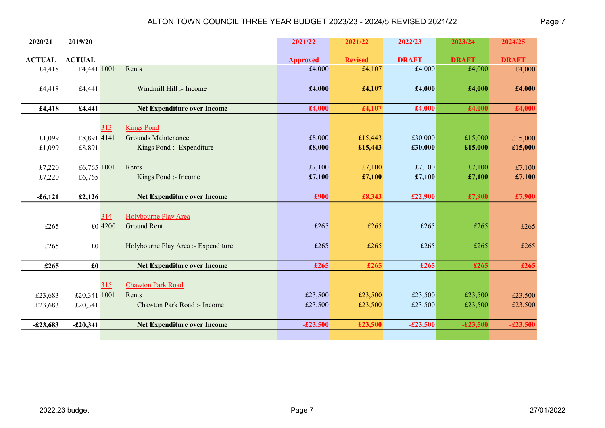| 2020/21            | 2019/20                 |                                                 | 2021/22          | 2021/22          | 2022/23          | 2023/24          | 2024/25            |
|--------------------|-------------------------|-------------------------------------------------|------------------|------------------|------------------|------------------|--------------------|
| <b>ACTUAL</b>      | <b>ACTUAL</b>           |                                                 | <b>Approved</b>  | <b>Revised</b>   | <b>DRAFT</b>     | <b>DRAFT</b>     | <b>DRAFT</b>       |
| £4,418             | £4,441 1001             | Rents                                           | £4,000           | £4,107           | £4,000           | £4,000           | £4,000             |
| £4,418             | £4,441                  | Windmill Hill :- Income                         | £4,000           | £4,107           | £4,000           | £4,000           | £4,000             |
| £4,418             | £4,441                  | <b>Net Expenditure over Income</b>              | £4,000           | £4,107           | £4,000           | £4,000           | £4,000             |
| £1,099             | £8,891 4141             | 313<br><b>Kings Pond</b><br>Grounds Maintenance | £8,000           | £15,443          | £30,000          | £15,000          | £15,000            |
| £1,099             | £8,891                  | Kings Pond :- Expenditure                       | £8,000           | £15,443          | £30,000          | £15,000          | £15,000            |
| £7,220<br>£7,220   | £6,765 1001<br>£6,765   | Rents<br>Kings Pond :- Income                   | £7,100<br>£7,100 | £7,100<br>£7,100 | £7,100<br>£7,100 | £7,100<br>£7,100 | £7,100<br>£7,100   |
|                    |                         |                                                 |                  |                  |                  |                  |                    |
| $-£6,121$          | £2,126                  | <b>Net Expenditure over Income</b>              | £900             | £8,343           | £22,900          | £7,900           | £7,900             |
| £265               | £0 4200                 | Holybourne Play Area<br>314<br>Ground Rent      | £265             | £265             | £265             | £265             | £265               |
| £265               | $\pounds 0$             | Holybourne Play Area :- Expenditure             | £265             | £265             | £265             | £265             | £265               |
| £265               | $\pmb{\pounds}$         | <b>Net Expenditure over Income</b>              | £265             | £265             | £265             | £265             | £265               |
|                    |                         | <b>Chawton Park Road</b><br>315<br>Rents        | £23,500          | £23,500          | £23,500          | £23,500          |                    |
| £23,683<br>£23,683 | £20,341 1001<br>£20,341 | Chawton Park Road :- Income                     | £23,500          | £23,500          | £23,500          | £23,500          | £23,500<br>£23,500 |
|                    |                         |                                                 |                  |                  |                  |                  |                    |
| $-£23,683$         | $-£20,341$              | <b>Net Expenditure over Income</b>              | $-£23,500$       | £23,500          | $-£23,500$       | $-£23,500$       | $-£23,500$         |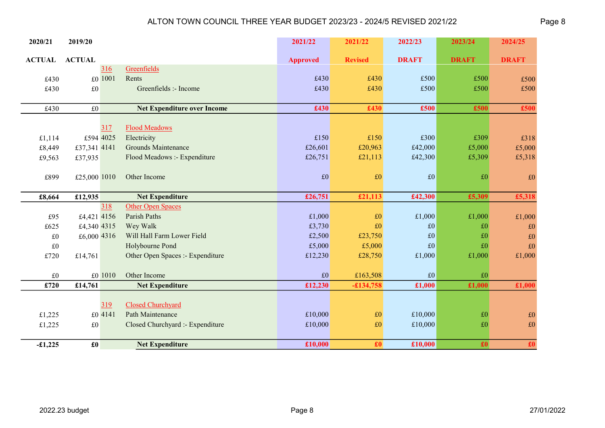| 2020/21       | 2019/20                        |                                    | 2021/22         | 2021/22        | 2022/23      | 2023/24         | 2024/25                  |
|---------------|--------------------------------|------------------------------------|-----------------|----------------|--------------|-----------------|--------------------------|
| <b>ACTUAL</b> | <b>ACTUAL</b>                  |                                    | <b>Approved</b> | <b>Revised</b> | <b>DRAFT</b> | <b>DRAFT</b>    | <b>DRAFT</b>             |
|               | 316                            | Greenfields                        |                 |                |              |                 |                          |
| £430          | £0 1001                        | Rents                              | £430            | £430           | £500         | £500            | £500                     |
| £430          | £0                             | Greenfields :- Income              | £430            | £430           | £500         | £500            | £500                     |
| £430          | $\pounds 0$                    | <b>Net Expenditure over Income</b> | £430            | £430           | £500         | £500            | £500                     |
|               |                                |                                    |                 |                |              |                 |                          |
|               | 317                            | <b>Flood Meadows</b>               |                 |                |              |                 |                          |
| £1,114        | £594 4025                      | Electricity                        | £150            | £150           | £300         | £309            | £318                     |
| £8,449        | £37,341 4141                   | <b>Grounds Maintenance</b>         | £26,601         | £20,963        | £42,000      | £5,000          | £5,000                   |
| £9,563        | £37,935                        | Flood Meadows :- Expenditure       | £26,751         | £21,113        | £42,300      | £5,309          | £5,318                   |
|               |                                |                                    |                 |                |              |                 |                          |
| £899          | £25,000 1010                   | Other Income                       | $\pounds 0$     | £0             | £0           | £0              | £0                       |
|               |                                |                                    |                 |                |              |                 |                          |
| £8,664        | £12,935                        | <b>Net Expenditure</b>             | £26,751         | £21,113        | £42,300      | £5,309          | £5,318                   |
|               | 318                            | <b>Other Open Spaces</b>           |                 |                |              |                 |                          |
| £95           | £4,421 4156                    | Parish Paths                       | £1,000          | £0             | £1,000       | £1,000          | £1,000                   |
| £625          | £4,340 4315                    | Wey Walk                           | £3,730          | £0             | £0           | £0              | £0                       |
| $\pounds 0$   | £6,000 4316                    | Will Hall Farm Lower Field         | £2,500          | £23,750        | £0           | $\pounds 0$     | $\pounds 0$              |
| $\pounds 0$   |                                | Holybourne Pond                    | £5,000          | £5,000         | £0           | £0              | $\pounds 0$              |
| £720          | £14,761                        | Other Open Spaces :- Expenditure   | £12,230         | £28,750        | £1,000       | £1,000          | £1,000                   |
|               |                                |                                    |                 |                |              |                 |                          |
| £0            | £0 1010                        | Other Income                       | £0              | £163,508       | £0           | £0              |                          |
| £720          | £14,761                        | <b>Net Expenditure</b>             | £12,230         | $-£134,758$    | £1,000       | £1,000          | £1,000                   |
|               | 319                            | Closed Churchyard                  |                 |                |              |                 |                          |
| £1,225        | £0 4141                        | Path Maintenance                   | £10,000         | £0             | £10,000      | $\pounds 0$     | £0                       |
| £1,225        | £0                             | Closed Churchyard :- Expenditure   | £10,000         | $\pounds 0$    | £10,000      | £0              | $\pounds 0$              |
|               |                                |                                    |                 |                |              |                 |                          |
| $-£1,225$     | $\pmb{\pmb{\pmb{\pmb{\cdot}}}$ | <b>Net Expenditure</b>             | £10,000         | £0             | £10,000      | $\pmb{\pounds}$ | $\overline{\textbf{f0}}$ |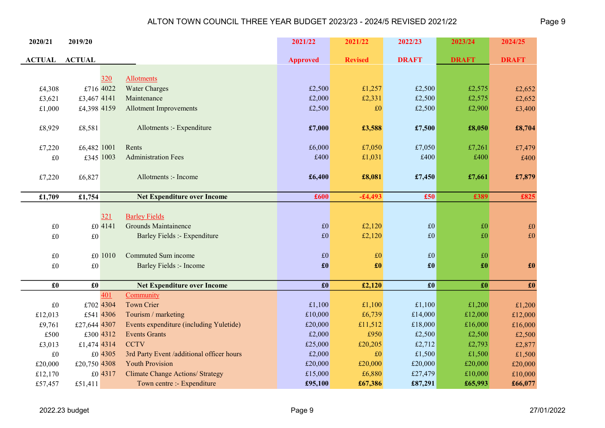| 2020/21             | 2019/20             |           |                                           | 2021/22                 | 2021/22        | 2022/23             | 2023/24                   | 2024/25                        |
|---------------------|---------------------|-----------|-------------------------------------------|-------------------------|----------------|---------------------|---------------------------|--------------------------------|
| <b>ACTUAL</b>       | <b>ACTUAL</b>       |           |                                           | <b>Approved</b>         | <b>Revised</b> | <b>DRAFT</b>        | <b>DRAFT</b>              | <b>DRAFT</b>                   |
|                     |                     |           |                                           |                         |                |                     |                           |                                |
|                     |                     | 320       | <b>Allotments</b>                         |                         |                |                     |                           |                                |
| £4,308              |                     | £716 4022 | <b>Water Charges</b>                      | £2,500                  | £1,257         | £2,500              | £2,575                    | £2,652                         |
| £3,621              | £3,467 4141         |           | Maintenance                               | £2,000                  | £2,331         | £2,500              | £2,575                    | £2,652                         |
| £1,000              | £4,398 4159         |           | <b>Allotment Improvements</b>             | £2,500                  | £0             | £2,500              | £2,900                    | £3,400                         |
| £8,929              | £8,581              |           | Allotments :- Expenditure                 | £7,000                  | £3,588         | £7,500              | £8,050                    | £8,704                         |
| £7,220              | £6,482 1001         |           | Rents                                     | £6,000                  | £7,050         | £7,050              | £7,261                    | £7,479                         |
| $\pounds 0$         |                     | £345 1003 | <b>Administration Fees</b>                | £400                    | £1,031         | £400                | £400                      | £400                           |
|                     |                     |           |                                           |                         |                |                     |                           |                                |
| £7,220              | £6,827              |           | Allotments :- Income                      | £6,400                  | £8,081         | £7,450              | £7,661                    | £7,879                         |
|                     |                     |           |                                           |                         |                |                     |                           |                                |
| £1,709              | £1,754              |           | <b>Net Expenditure over Income</b>        | £600                    | $-£4,493$      | £50                 | £389                      | £825                           |
|                     |                     |           |                                           |                         |                |                     |                           |                                |
|                     |                     | 321       | <b>Barley Fields</b>                      |                         |                |                     |                           |                                |
| $\pounds 0$         |                     | £0 4141   | <b>Grounds Maintainence</b>               | $\pounds 0$             | £2,120         | 10                  | £0                        | $\pounds 0$                    |
| £0                  | $\pounds 0$         |           | Barley Fields :- Expenditure              | $\pounds 0$             | £2,120         | $\vert$ £0          | £0                        | £0                             |
|                     |                     |           |                                           |                         |                |                     |                           |                                |
| $\pounds 0$         |                     | £0 1010   | Commuted Sum income                       | $\pounds 0$             | $\pounds 0$    | E0                  | $\pounds 0$               |                                |
| $\pounds 0$         | $\pounds 0$         |           | <b>Barley Fields :- Income</b>            | $\pmb{\pmb{\pmb{\pm}}}$ | £0             | $\pmb{\pounds}$     | $\pmb{\pmb{\pmb{\cdot}}}$ | $\pmb{\pmb{\pmb{\pmb{\cdot}}}$ |
|                     |                     |           |                                           |                         |                |                     |                           |                                |
| $\pmb{\pmb{\pm 0}}$ | $\pmb{\pmb{\pm 0}}$ |           | <b>Net Expenditure over Income</b>        | $\pmb{\pmb{\pm 0}}$     | £2,120         | $\pmb{\pmb{\pm 0}}$ | $\pmb{\pounds}$           | $\pmb{\pounds}$                |
|                     |                     | 401       | Community                                 |                         |                |                     |                           |                                |
| $\pounds 0$         |                     | £702 4304 | <b>Town Crier</b>                         | £1,100                  | £1,100         | £1,100              | £1,200                    | £1,200                         |
| £12,013             |                     | £541 4306 | Tourism / marketing                       | £10,000                 | £6,739         | £14,000             | £12,000                   | £12,000                        |
| £9,761              | £27,644 4307        |           | Events expenditure (including Yuletide)   | £20,000                 | £11,512        | £18,000             | £16,000                   | £16,000                        |
| £500                |                     | £300 4312 | <b>Events Grants</b>                      | £2,000                  | £950           | £2,500              | £2,500                    | £2,500                         |
| £3,013              | £1,474 4314         |           | <b>CCTV</b>                               | £25,000                 | £20,205        | £2,712              | £2,793                    | £2,877                         |
| $\pounds 0$         |                     | £0 4305   | 3rd Party Event /additional officer hours | £2,000                  | £0             | £1,500              | £1,500                    | £1,500                         |
| £20,000             | £20,750 4308        |           | <b>Youth Provision</b>                    | £20,000                 | £20,000        | £20,000             | £20,000                   | £20,000                        |
| £12,170             |                     | £0 4317   | <b>Climate Change Actions/ Strategy</b>   | £15,000                 | £6,880         | £27,479             | £10,000                   | £10,000                        |
| £57,457             | £51,411             |           | Town centre :- Expenditure                | £95,100                 | £67,386        | £87,291             | £65,993                   | £66,077                        |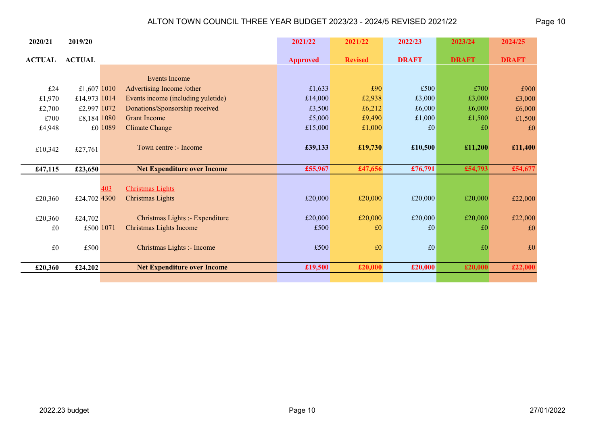| 2020/21       | 2019/20       |         |                                    | 2021/22         | 2021/22        | 2022/23      | 2023/24      | 2024/25      |
|---------------|---------------|---------|------------------------------------|-----------------|----------------|--------------|--------------|--------------|
| <b>ACTUAL</b> | <b>ACTUAL</b> |         |                                    | <b>Approved</b> | <b>Revised</b> | <b>DRAFT</b> | <b>DRAFT</b> | <b>DRAFT</b> |
|               |               |         |                                    |                 |                |              |              |              |
|               |               |         | <b>Events Income</b>               |                 |                |              |              |              |
| £24           | £1,607 1010   |         | Advertising Income /other          | £1,633          | £90            | £500         | £700         | £900         |
| £1,970        | £14,973 1014  |         | Events income (including yuletide) | £14,000         | £2,938         | £3,000       | £3,000       | £3,000       |
| £2,700        | £2,997 1072   |         | Donations/Sponsorship received     | £3,500          | £6,212         | £6,000       | £6,000       | £6,000       |
| £700          | £8,184 1080   |         | <b>Grant Income</b>                | £5,000          | £9,490         | £1,000       | £1,500       | £1,500       |
| £4,948        |               | £0 1089 | <b>Climate Change</b>              | £15,000         | £1,000         | £0           | £0           | £0           |
|               |               |         |                                    |                 |                |              |              |              |
| £10,342       | £27,761       |         | Town centre :- Income              | £39,133         | £19,730        | £10,500      | £11,200      | £11,400      |
|               |               |         |                                    |                 |                |              |              |              |
| £47,115       | £23,650       |         | <b>Net Expenditure over Income</b> | £55,967         | £47,656        | £76,791      | £54,793      | £54,677      |
|               |               |         |                                    |                 |                |              |              |              |
|               |               | 403     | <b>Christmas Lights</b>            |                 |                |              |              |              |
| £20,360       | £24,702 4300  |         | Christmas Lights                   | £20,000         | £20,000        | £20,000      | £20,000      | £22,000      |
|               |               |         |                                    |                 |                |              |              |              |
| £20,360       | £24,702       |         | Christmas Lights :- Expenditure    | £20,000         | £20,000        | £20,000      | £20,000      | £22,000      |
| £0            | £500 1071     |         | Christmas Lights Income            | £500            | £0             | £0           | £0           | $\pounds 0$  |
|               |               |         |                                    |                 |                |              |              |              |
| £0            | £500          |         | Christmas Lights :- Income         | £500            | £0             | £0           | £0           | $\pounds 0$  |
|               |               |         |                                    |                 |                |              |              |              |
| £20,360       | £24,202       |         | <b>Net Expenditure over Income</b> | £19,500         | £20,000        | £20,000      | £20,000      | £22,000      |
|               |               |         |                                    |                 |                |              |              |              |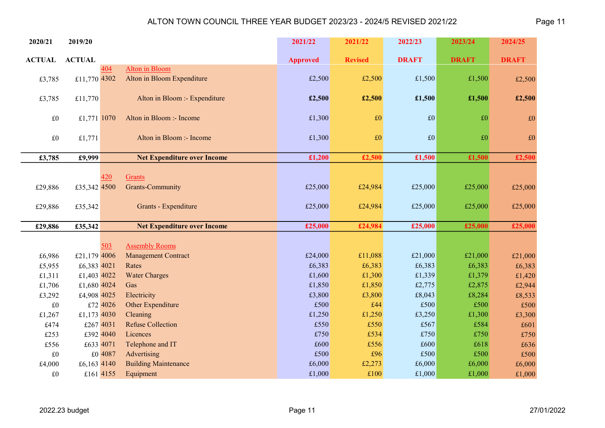| 2020/21       | 2019/20       |           |                                    | 2021/22         | 2021/22        | 2022/23      | 2023/24      | 2024/25      |
|---------------|---------------|-----------|------------------------------------|-----------------|----------------|--------------|--------------|--------------|
| <b>ACTUAL</b> | <b>ACTUAL</b> |           |                                    | <b>Approved</b> | <b>Revised</b> | <b>DRAFT</b> | <b>DRAFT</b> | <b>DRAFT</b> |
|               |               | 404       | <b>Alton</b> in Bloom              |                 |                |              |              |              |
| £3,785        | £11,770 4302  |           | Alton in Bloom Expenditure         | £2,500          | £2,500         | £1,500       | £1,500       | £2,500       |
| £3,785        | £11,770       |           | Alton in Bloom :- Expenditure      | £2,500          | £2,500         | £1,500       | £1,500       | £2,500       |
| $\pounds 0$   | £1,771 1070   |           | Alton in Bloom :- Income           | £1,300          | $\pounds 0$    | f(0)         | £0           | $\pounds 0$  |
| $\pounds 0$   | £1,771        |           | Alton in Bloom :- Income           | £1,300          | $\pounds 0$    | f(0)         | £0           | $\pounds 0$  |
| £3,785        | £9,999        |           | <b>Net Expenditure over Income</b> | £1,200          | £2,500         | £1,500       | £1,500       | £2,500       |
|               |               |           |                                    |                 |                |              |              |              |
|               |               | 420       | Grants                             |                 |                |              |              |              |
| £29,886       | £35,342 4500  |           | <b>Grants-Community</b>            | £25,000         | £24,984        | £25,000      | £25,000      | £25,000      |
| £29,886       | £35,342       |           | Grants - Expenditure               | £25,000         | £24,984        | £25,000      | £25,000      | £25,000      |
| £29,886       | £35,342       |           | <b>Net Expenditure over Income</b> | £25,000         | £24,984        | £25,000      | £25,000      | £25,000      |
|               |               |           |                                    |                 |                |              |              |              |
|               |               | 503       | <b>Assembly Rooms</b>              |                 |                |              |              |              |
| £6,986        | £21,179 4006  |           | <b>Management Contract</b>         | £24,000         | £11,088        | £21,000      | £21,000      | £21,000      |
| £5,955        | £6,383 4021   |           | Rates                              | £6,383          | £6,383         | £6,383       | £6,383       | £6,383       |
| £1,311        | £1,403 4022   |           | <b>Water Charges</b>               | £1,600          | £1,300         | £1,339       | £1,379       | £1,420       |
| £1,706        | £1,680 4024   |           | Gas                                | £1,850          | £1,850         | £2,775       | £2,875       | £2,944       |
| £3,292        | £4,908 4025   |           | Electricity                        | £3,800          | £3,800         | £8,043       | £8,284       | £8,533       |
| $\pounds 0$   |               | £72 4026  | Other Expenditure                  | £500            | £44            | £500         | £500         | £500         |
| £1,267        | £1,173 4030   |           | Cleaning                           | £1,250          | £1,250         | £3,250       | £1,300       | £3,300       |
| £474          | £267 4031     |           | <b>Refuse Collection</b>           | £550            | £550           | £567         | £584         | £601         |
| £253          |               | £392 4040 | Licences                           | £750            | £534           | £750         | £750         | £750         |
| £556          | £633 4071     |           | Telephone and IT                   | £600            | £556           | £600         | £618         | £636         |
| £0            |               | £0 4087   | Advertising                        | £500            | £96            | £500         | £500         | £500         |
| £4,000        | £6,163 4140   |           | <b>Building Maintenance</b>        | £6,000          | £2,273         | £6,000       | £6,000       | £6,000       |
| £0            |               | £161 4155 | Equipment                          | £1,000          | £100           | £1,000       | £1,000       | £1,000       |

 $\overline{\phantom{0}}$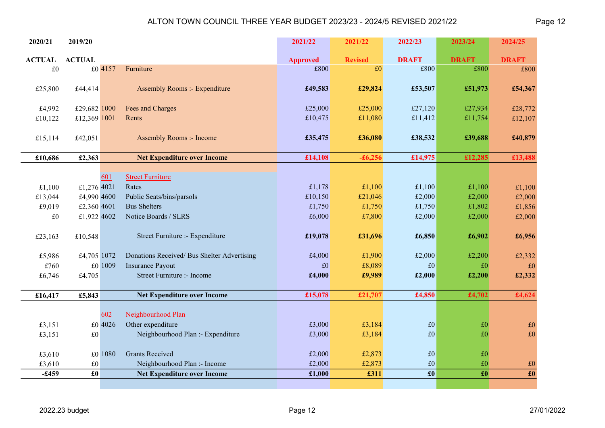| 2020/21       | 2019/20                   |         |                                             | 2021/22         | 2021/22        | 2022/23         | 2023/24         | 2024/25         |
|---------------|---------------------------|---------|---------------------------------------------|-----------------|----------------|-----------------|-----------------|-----------------|
| <b>ACTUAL</b> | <b>ACTUAL</b>             |         |                                             | <b>Approved</b> | <b>Revised</b> | <b>DRAFT</b>    | <b>DRAFT</b>    | <b>DRAFT</b>    |
| £0            |                           | £0 4157 | Furniture                                   | £800            | £0             | £800            | £800            | £800            |
| £25,800       | £44,414                   |         | <b>Assembly Rooms :- Expenditure</b>        | £49,583         | £29,824        | £53,507         | £51,973         | £54,367         |
|               |                           |         |                                             |                 |                |                 |                 |                 |
| £4,992        | £29,682 1000              |         | Fees and Charges                            | £25,000         | £25,000        | £27,120         | £27,934         | £28,772         |
| £10,122       | £12,369 1001              |         | Rents                                       | £10,475         | £11,080        | £11,412         | £11,754         | £12,107         |
| £15,114       | £42,051                   |         | <b>Assembly Rooms :- Income</b>             | £35,475         | £36,080        | £38,532         | £39,688         | £40,879         |
|               |                           |         |                                             |                 |                |                 |                 |                 |
| £10,686       | £2,363                    |         | <b>Net Expenditure over Income</b>          | £14,108         | $-£6,256$      | £14,975         | £12,285         | £13,488         |
|               |                           | 601     | <b>Street Furniture</b>                     |                 |                |                 |                 |                 |
| £1,100        | £1,276 4021               |         | Rates                                       | £1,178          | £1,100         | £1,100          | £1,100          | £1,100          |
| £13,044       | £4,990 4600               |         | Public Seats/bins/parsols                   | £10,150         | £21,046        | £2,000          | £2,000          | £2,000          |
| £9,019        | £2,360 4601               |         | <b>Bus Shelters</b>                         | £1,750          | £1,750         | £1,750          | £1,802          | £1,856          |
| $\pounds 0$   | £1,922 4602               |         | Notice Boards / SLRS                        | £6,000          | £7,800         | £2,000          | £2,000          | £2,000          |
|               |                           |         |                                             |                 |                |                 |                 |                 |
| £23,163       | £10,548                   |         | Street Furniture :- Expenditure             | £19,078         | £31,696        | £6,850          | £6,902          | £6,956          |
| £5,986        | £4,705 1072               |         | Donations Received/ Bus Shelter Advertising | £4,000          | £1,900         | £2,000          | £2,200          | £2,332          |
| £760          |                           | £0 1009 | <b>Insurance Payout</b>                     | £0              | £8,089         | £0              | £0              | $\pounds 0$     |
| £6,746        | £4,705                    |         | Street Furniture :- Income                  | £4,000          | £9,989         | £2,000          | £2,200          | £2,332          |
|               |                           |         |                                             |                 |                |                 |                 |                 |
| £16,417       | £5,843                    |         | <b>Net Expenditure over Income</b>          | £15,078         | £21,707        | £4,850          | £4,702          | £4,624          |
|               |                           | 602     | Neighbourhood Plan                          |                 |                |                 |                 |                 |
| £3,151        |                           | £0 4026 | Other expenditure                           | £3,000          | £3,184         | £0              | $\pounds 0$     | $\pounds 0$     |
| £3,151        | $\pounds 0$               |         | Neighbourhood Plan :- Expenditure           | £3,000          | £3,184         | £0              | £0              | £0              |
|               |                           |         |                                             |                 |                |                 |                 |                 |
| £3,610        |                           | £0 1080 | <b>Grants Received</b>                      | £2,000          | £2,873         | $\pounds 0$     | £0              |                 |
| £3,610        | $\pounds 0$               |         | Neighbourhood Plan :- Income                | £2,000          | £2,873         | $\pounds 0$     | £0              | $\pounds 0$     |
| $-£459$       | $\pmb{\pmb{\pmb{\pm 0}}}$ |         | <b>Net Expenditure over Income</b>          | £1,000          | £311           | $\pmb{\pounds}$ | $\pmb{\pounds}$ | $\pmb{\pounds}$ |
|               |                           |         |                                             |                 |                |                 |                 |                 |